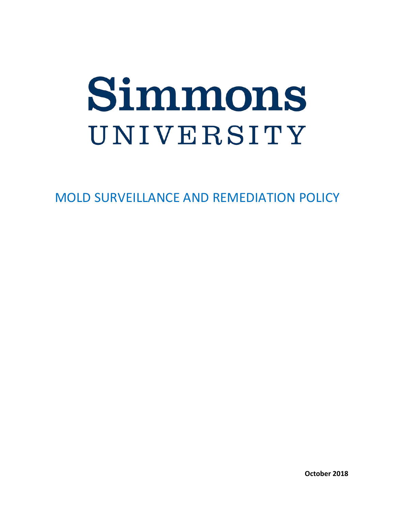# UNIVERSITY

MOLD SURVEILLANCE AND REMEDIATION POLICY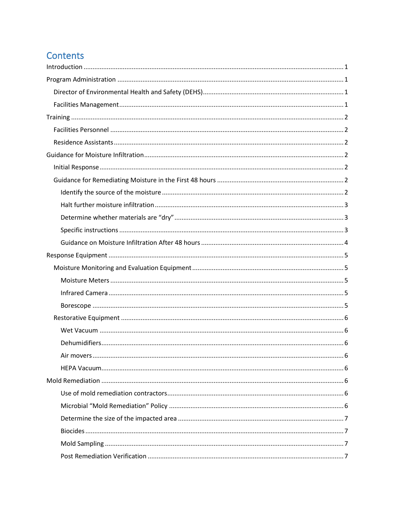# Contents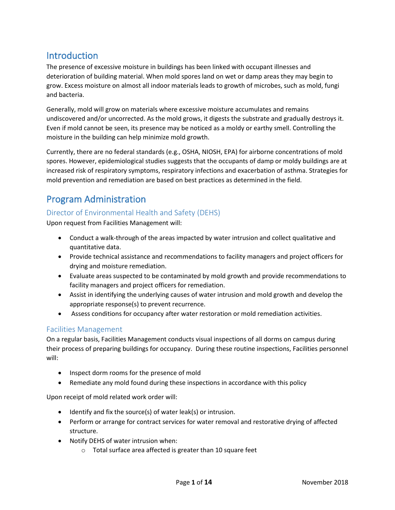# <span id="page-3-0"></span>**Introduction**

The presence of excessive moisture in buildings has been linked with occupant illnesses and deterioration of building material. When mold spores land on wet or damp areas they may begin to grow. Excess moisture on almost all indoor materials leads to growth of microbes, such as mold, fungi and bacteria.

Generally, mold will grow on materials where excessive moisture accumulates and remains undiscovered and/or uncorrected. As the mold grows, it digests the substrate and gradually destroys it. Even if mold cannot be seen, its presence may be noticed as a moldy or earthy smell. Controlling the moisture in the building can help minimize mold growth.

Currently, there are no federal standards (e.g., OSHA, NIOSH, EPA) for airborne concentrations of mold spores. However, epidemiological studies suggests that the occupants of damp or moldy buildings are at increased risk of respiratory symptoms, respiratory infections and exacerbation of asthma. Strategies for mold prevention and remediation are based on best practices as determined in the field.

# <span id="page-3-1"></span>Program Administration

#### <span id="page-3-2"></span>Director of Environmental Health and Safety (DEHS)

Upon request from Facilities Management will:

- Conduct a walk-through of the areas impacted by water intrusion and collect qualitative and quantitative data.
- Provide technical assistance and recommendations to facility managers and project officers for drying and moisture remediation.
- Evaluate areas suspected to be contaminated by mold growth and provide recommendations to facility managers and project officers for remediation.
- Assist in identifying the underlying causes of water intrusion and mold growth and develop the appropriate response(s) to prevent recurrence.
- Assess conditions for occupancy after water restoration or mold remediation activities.

#### <span id="page-3-3"></span>Facilities Management

On a regular basis, Facilities Management conducts visual inspections of all dorms on campus during their process of preparing buildings for occupancy. During these routine inspections, Facilities personnel will:

- Inspect dorm rooms for the presence of mold
- Remediate any mold found during these inspections in accordance with this policy

Upon receipt of mold related work order will:

- Identify and fix the source(s) of water leak(s) or intrusion.
- Perform or arrange for contract services for water removal and restorative drying of affected structure.
- Notify DEHS of water intrusion when:
	- o Total surface area affected is greater than 10 square feet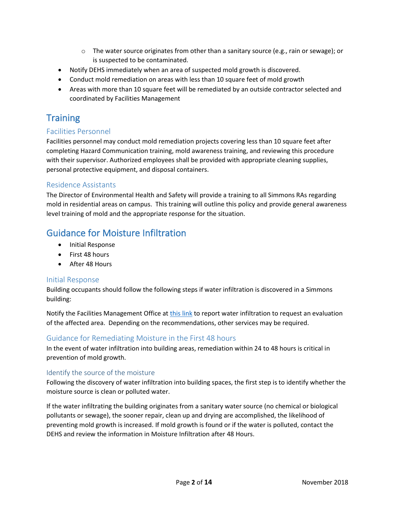- $\circ$  The water source originates from other than a sanitary source (e.g., rain or sewage); or is suspected to be contaminated.
- Notify DEHS immediately when an area of suspected mold growth is discovered.
- Conduct mold remediation on areas with less than 10 square feet of mold growth
- Areas with more than 10 square feet will be remediated by an outside contractor selected and coordinated by Facilities Management

# <span id="page-4-0"></span>**Training**

#### <span id="page-4-1"></span>Facilities Personnel

Facilities personnel may conduct mold remediation projects covering less than 10 square feet after completing Hazard Communication training, mold awareness training, and reviewing this procedure with their supervisor. Authorized employees shall be provided with appropriate cleaning supplies, personal protective equipment, and disposal containers.

#### <span id="page-4-2"></span>Residence Assistants

The Director of Environmental Health and Safety will provide a training to all Simmons RAs regarding mold in residential areas on campus. This training will outline this policy and provide general awareness level training of mold and the appropriate response for the situation.

# <span id="page-4-3"></span>Guidance for Moisture Infiltration

- Initial Response
- First 48 hours
- After 48 Hours

#### <span id="page-4-4"></span>Initial Response

Building occupants should follow the following steps if water infiltration is discovered in a Simmons building:

Notify the Facilities Management Office a[t this link](http://internal.simmons.edu/faculty-staff/general/administrative-services/facilities-service-center) to report water infiltration to request an evaluation of the affected area. Depending on the recommendations, other services may be required.

#### <span id="page-4-5"></span>Guidance for Remediating Moisture in the First 48 hours

In the event of water infiltration into building areas, remediation within 24 to 48 hours is critical in prevention of mold growth.

#### <span id="page-4-6"></span>Identify the source of the moisture

Following the discovery of water infiltration into building spaces, the first step is to identify whether the moisture source is clean or polluted water.

If the water infiltrating the building originates from a sanitary water source (no chemical or biological pollutants or sewage), the sooner repair, clean up and drying are accomplished, the likelihood of preventing mold growth is increased. If mold growth is found or if the water is polluted, contact the DEHS and review the information in Moisture Infiltration after 48 Hours.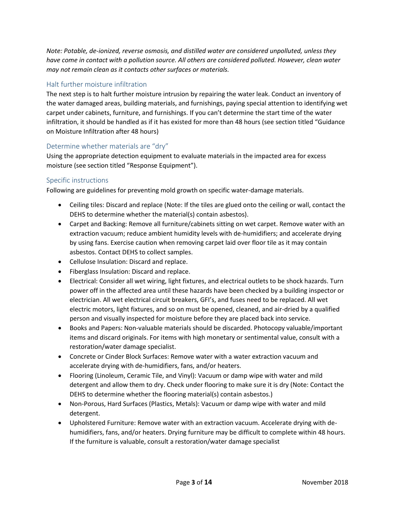*Note: Potable, de-ionized, reverse osmosis, and distilled water are considered unpolluted, unless they have come in contact with a pollution source. All others are considered polluted. However, clean water may not remain clean as it contacts other surfaces or materials.* 

#### <span id="page-5-0"></span>Halt further moisture infiltration

The next step is to halt further moisture intrusion by repairing the water leak. Conduct an inventory of the water damaged areas, building materials, and furnishings, paying special attention to identifying wet carpet under cabinets, furniture, and furnishings. If you can't determine the start time of the water infiltration, it should be handled as if it has existed for more than 48 hours (see section titled "Guidance on Moisture Infiltration after 48 hours)

#### <span id="page-5-1"></span>Determine whether materials are "dry"

Using the appropriate detection equipment to evaluate materials in the impacted area for excess moisture (see section titled "Response Equipment").

#### <span id="page-5-2"></span>Specific instructions

Following are guidelines for preventing mold growth on specific water-damage materials.

- Ceiling tiles: Discard and replace (Note: If the tiles are glued onto the ceiling or wall, contact the DEHS to determine whether the material(s) contain asbestos).
- Carpet and Backing: Remove all furniture/cabinets sitting on wet carpet. Remove water with an extraction vacuum; reduce ambient humidity levels with de-humidifiers; and accelerate drying by using fans. Exercise caution when removing carpet laid over floor tile as it may contain asbestos. Contact DEHS to collect samples.
- Cellulose Insulation: Discard and replace.
- Fiberglass Insulation: Discard and replace.
- Electrical: Consider all wet wiring, light fixtures, and electrical outlets to be shock hazards. Turn power off in the affected area until these hazards have been checked by a building inspector or electrician. All wet electrical circuit breakers, GFI's, and fuses need to be replaced. All wet electric motors, light fixtures, and so on must be opened, cleaned, and air-dried by a qualified person and visually inspected for moisture before they are placed back into service.
- Books and Papers: Non-valuable materials should be discarded. Photocopy valuable/important items and discard originals. For items with high monetary or sentimental value, consult with a restoration/water damage specialist.
- Concrete or Cinder Block Surfaces: Remove water with a water extraction vacuum and accelerate drying with de-humidifiers, fans, and/or heaters.
- Flooring (Linoleum, Ceramic Tile, and Vinyl): Vacuum or damp wipe with water and mild detergent and allow them to dry. Check under flooring to make sure it is dry (Note: Contact the DEHS to determine whether the flooring material(s) contain asbestos.)
- Non-Porous, Hard Surfaces (Plastics, Metals): Vacuum or damp wipe with water and mild detergent.
- Upholstered Furniture: Remove water with an extraction vacuum. Accelerate drying with dehumidifiers, fans, and/or heaters. Drying furniture may be difficult to complete within 48 hours. If the furniture is valuable, consult a restoration/water damage specialist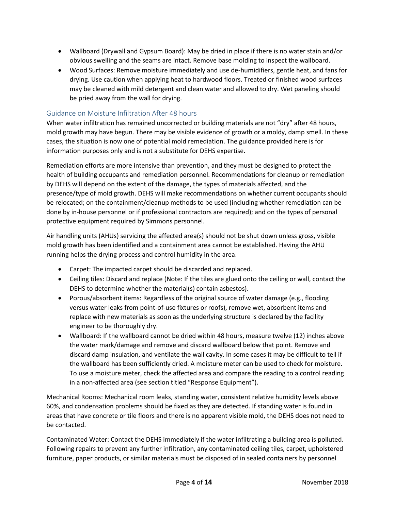- Wallboard (Drywall and Gypsum Board): May be dried in place if there is no water stain and/or obvious swelling and the seams are intact. Remove base molding to inspect the wallboard.
- Wood Surfaces: Remove moisture immediately and use de-humidifiers, gentle heat, and fans for drying. Use caution when applying heat to hardwood floors. Treated or finished wood surfaces may be cleaned with mild detergent and clean water and allowed to dry. Wet paneling should be pried away from the wall for drying.

#### <span id="page-6-0"></span>Guidance on Moisture Infiltration After 48 hours

When water infiltration has remained uncorrected or building materials are not "dry" after 48 hours, mold growth may have begun. There may be visible evidence of growth or a moldy, damp smell. In these cases, the situation is now one of potential mold remediation. The guidance provided here is for information purposes only and is not a substitute for DEHS expertise.

Remediation efforts are more intensive than prevention, and they must be designed to protect the health of building occupants and remediation personnel. Recommendations for cleanup or remediation by DEHS will depend on the extent of the damage, the types of materials affected, and the presence/type of mold growth. DEHS will make recommendations on whether current occupants should be relocated; on the containment/cleanup methods to be used (including whether remediation can be done by in-house personnel or if professional contractors are required); and on the types of personal protective equipment required by Simmons personnel.

Air handling units (AHUs) servicing the affected area(s) should not be shut down unless gross, visible mold growth has been identified and a containment area cannot be established. Having the AHU running helps the drying process and control humidity in the area.

- Carpet: The impacted carpet should be discarded and replaced.
- Ceiling tiles: Discard and replace (Note: If the tiles are glued onto the ceiling or wall, contact the DEHS to determine whether the material(s) contain asbestos).
- Porous/absorbent items: Regardless of the original source of water damage (e.g., flooding versus water leaks from point-of-use fixtures or roofs), remove wet, absorbent items and replace with new materials as soon as the underlying structure is declared by the facility engineer to be thoroughly dry.
- Wallboard: If the wallboard cannot be dried within 48 hours, measure twelve (12) inches above the water mark/damage and remove and discard wallboard below that point. Remove and discard damp insulation, and ventilate the wall cavity. In some cases it may be difficult to tell if the wallboard has been sufficiently dried. A moisture meter can be used to check for moisture. To use a moisture meter, check the affected area and compare the reading to a control reading in a non-affected area (see section titled "Response Equipment").

Mechanical Rooms: Mechanical room leaks, standing water, consistent relative humidity levels above 60%, and condensation problems should be fixed as they are detected. If standing water is found in areas that have concrete or tile floors and there is no apparent visible mold, the DEHS does not need to be contacted.

Contaminated Water: Contact the DEHS immediately if the water infiltrating a building area is polluted. Following repairs to prevent any further infiltration, any contaminated ceiling tiles, carpet, upholstered furniture, paper products, or similar materials must be disposed of in sealed containers by personnel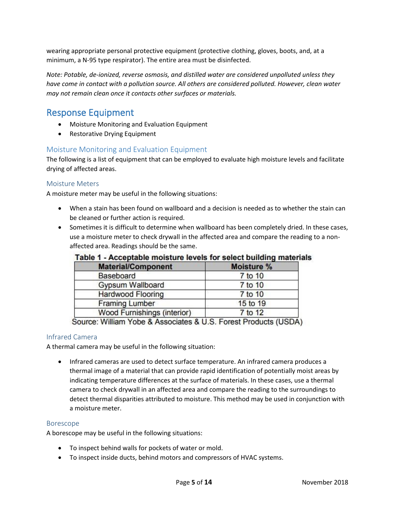wearing appropriate personal protective equipment (protective clothing, gloves, boots, and, at a minimum, a N-95 type respirator). The entire area must be disinfected.

*Note: Potable, de-ionized, reverse osmosis, and distilled water are considered unpolluted unless they have come in contact with a pollution source. All others are considered polluted. However, clean water may not remain clean once it contacts other surfaces or materials.*

# <span id="page-7-0"></span>Response Equipment

- Moisture Monitoring and Evaluation Equipment
- Restorative Drying Equipment

#### <span id="page-7-1"></span>Moisture Monitoring and Evaluation Equipment

The following is a list of equipment that can be employed to evaluate high moisture levels and facilitate drying of affected areas.

#### <span id="page-7-2"></span>Moisture Meters

A moisture meter may be useful in the following situations:

- When a stain has been found on wallboard and a decision is needed as to whether the stain can be cleaned or further action is required.
- Sometimes it is difficult to determine when wallboard has been completely dried. In these cases, use a moisture meter to check drywall in the affected area and compare the reading to a nonaffected area. Readings should be the same.

| <b>Material/Component</b>   | Moisture % |
|-----------------------------|------------|
| Baseboard                   | 7 to 10    |
| Gypsum Wallboard            | 7 to 10    |
| <b>Hardwood Flooring</b>    | 7 to 10    |
| <b>Framing Lumber</b>       | 15 to 19   |
| Wood Furnishings (interior) | 7 to 12    |

#### Table 1 - Acceptable moisture levels for select building materials

Source: William Yobe & Associates & U.S. Forest Products (USDA)

#### <span id="page-7-3"></span>Infrared Camera

A thermal camera may be useful in the following situation:

• Infrared cameras are used to detect surface temperature. An infrared camera produces a thermal image of a material that can provide rapid identification of potentially moist areas by indicating temperature differences at the surface of materials. In these cases, use a thermal camera to check drywall in an affected area and compare the reading to the surroundings to detect thermal disparities attributed to moisture. This method may be used in conjunction with a moisture meter.

#### <span id="page-7-4"></span>Borescope

A borescope may be useful in the following situations:

- To inspect behind walls for pockets of water or mold.
- To inspect inside ducts, behind motors and compressors of HVAC systems.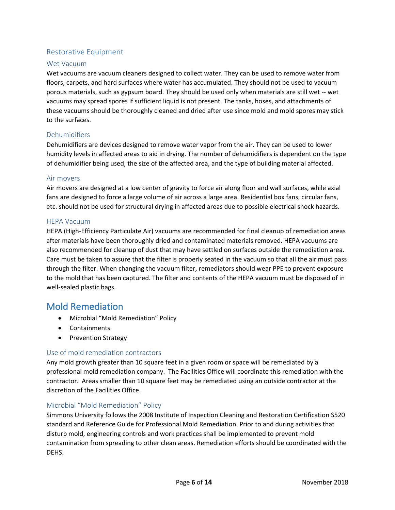#### <span id="page-8-0"></span>Restorative Equipment

#### <span id="page-8-1"></span>Wet Vacuum

Wet vacuums are vacuum cleaners designed to collect water. They can be used to remove water from floors, carpets, and hard surfaces where water has accumulated. They should not be used to vacuum porous materials, such as gypsum board. They should be used only when materials are still wet -- wet vacuums may spread spores if sufficient liquid is not present. The tanks, hoses, and attachments of these vacuums should be thoroughly cleaned and dried after use since mold and mold spores may stick to the surfaces.

#### <span id="page-8-2"></span>Dehumidifiers

Dehumidifiers are devices designed to remove water vapor from the air. They can be used to lower humidity levels in affected areas to aid in drying. The number of dehumidifiers is dependent on the type of dehumidifier being used, the size of the affected area, and the type of building material affected.

#### <span id="page-8-3"></span>Air movers

Air movers are designed at a low center of gravity to force air along floor and wall surfaces, while axial fans are designed to force a large volume of air across a large area. Residential box fans, circular fans, etc. should not be used for structural drying in affected areas due to possible electrical shock hazards.

#### <span id="page-8-4"></span>HEPA Vacuum

HEPA (High-Efficiency Particulate Air) vacuums are recommended for final cleanup of remediation areas after materials have been thoroughly dried and contaminated materials removed. HEPA vacuums are also recommended for cleanup of dust that may have settled on surfaces outside the remediation area. Care must be taken to assure that the filter is properly seated in the vacuum so that all the air must pass through the filter. When changing the vacuum filter, remediators should wear PPE to prevent exposure to the mold that has been captured. The filter and contents of the HEPA vacuum must be disposed of in well-sealed plastic bags.

### <span id="page-8-5"></span>Mold Remediation

- Microbial "Mold Remediation" Policy
- Containments
- Prevention Strategy

#### <span id="page-8-6"></span>Use of mold remediation contractors

Any mold growth greater than 10 square feet in a given room or space will be remediated by a professional mold remediation company. The Facilities Office will coordinate this remediation with the contractor. Areas smaller than 10 square feet may be remediated using an outside contractor at the discretion of the Facilities Office.

#### <span id="page-8-7"></span>Microbial "Mold Remediation" Policy

Simmons University follows the 2008 Institute of Inspection Cleaning and Restoration Certification S520 standard and Reference Guide for Professional Mold Remediation. Prior to and during activities that disturb mold, engineering controls and work practices shall be implemented to prevent mold contamination from spreading to other clean areas. Remediation efforts should be coordinated with the DEHS.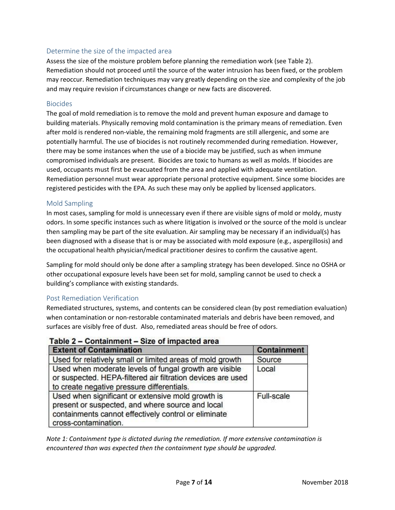#### <span id="page-9-0"></span>Determine the size of the impacted area

Assess the size of the moisture problem before planning the remediation work (see Table 2). Remediation should not proceed until the source of the water intrusion has been fixed, or the problem may reoccur. Remediation techniques may vary greatly depending on the size and complexity of the job and may require revision if circumstances change or new facts are discovered.

#### <span id="page-9-1"></span>Biocides

The goal of mold remediation is to remove the mold and prevent human exposure and damage to building materials. Physically removing mold contamination is the primary means of remediation. Even after mold is rendered non-viable, the remaining mold fragments are still allergenic, and some are potentially harmful. The use of biocides is not routinely recommended during remediation. However, there may be some instances when the use of a biocide may be justified, such as when immune compromised individuals are present. Biocides are toxic to humans as well as molds. If biocides are used, occupants must first be evacuated from the area and applied with adequate ventilation. Remediation personnel must wear appropriate personal protective equipment. Since some biocides are registered pesticides with the EPA. As such these may only be applied by licensed applicators.

#### <span id="page-9-2"></span>Mold Sampling

In most cases, sampling for mold is unnecessary even if there are visible signs of mold or moldy, musty odors. In some specific instances such as where litigation is involved or the source of the mold is unclear then sampling may be part of the site evaluation. Air sampling may be necessary if an individual(s) has been diagnosed with a disease that is or may be associated with mold exposure (e.g., aspergillosis) and the occupational health physician/medical practitioner desires to confirm the causative agent.

Sampling for mold should only be done after a sampling strategy has been developed. Since no OSHA or other occupational exposure levels have been set for mold, sampling cannot be used to check a building's compliance with existing standards.

#### <span id="page-9-3"></span>Post Remediation Verification

Remediated structures, systems, and contents can be considered clean (by post remediation evaluation) when contamination or non-restorable contaminated materials and debris have been removed, and surfaces are visibly free of dust. Also, remediated areas should be free of odors.

#### Table 2 - Containment - Size of impacted area

| <b>Extent of Contamination</b>                                                                                                                                                        | <b>Containment</b> |
|---------------------------------------------------------------------------------------------------------------------------------------------------------------------------------------|--------------------|
| Used for relatively small or limited areas of mold growth                                                                                                                             | Source             |
| Used when moderate levels of fungal growth are visible<br>or suspected. HEPA-filtered air filtration devices are used<br>to create negative pressure differentials.                   | Local              |
| Used when significant or extensive mold growth is<br>present or suspected, and where source and local<br>containments cannot effectively control or eliminate<br>cross-contamination. | <b>Full-scale</b>  |

*Note 1: Containment type is dictated during the remediation. If more extensive contamination is encountered than was expected then the containment type should be upgraded.*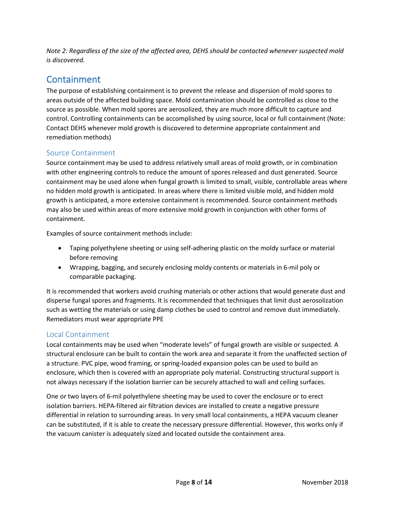*Note 2: Regardless of the size of the affected area, DEHS should be contacted whenever suspected mold is discovered.*

# <span id="page-10-0"></span>Containment

The purpose of establishing containment is to prevent the release and dispersion of mold spores to areas outside of the affected building space. Mold contamination should be controlled as close to the source as possible. When mold spores are aerosolized, they are much more difficult to capture and control. Controlling containments can be accomplished by using source, local or full containment (Note: Contact DEHS whenever mold growth is discovered to determine appropriate containment and remediation methods)

#### <span id="page-10-1"></span>Source Containment

Source containment may be used to address relatively small areas of mold growth, or in combination with other engineering controls to reduce the amount of spores released and dust generated. Source containment may be used alone when fungal growth is limited to small, visible, controllable areas where no hidden mold growth is anticipated. In areas where there is limited visible mold, and hidden mold growth is anticipated, a more extensive containment is recommended. Source containment methods may also be used within areas of more extensive mold growth in conjunction with other forms of containment.

Examples of source containment methods include:

- Taping polyethylene sheeting or using self-adhering plastic on the moldy surface or material before removing
- Wrapping, bagging, and securely enclosing moldy contents or materials in 6-mil poly or comparable packaging.

It is recommended that workers avoid crushing materials or other actions that would generate dust and disperse fungal spores and fragments. It is recommended that techniques that limit dust aerosolization such as wetting the materials or using damp clothes be used to control and remove dust immediately. Remediators must wear appropriate PPE

#### <span id="page-10-2"></span>Local Containment

Local containments may be used when "moderate levels" of fungal growth are visible or suspected. A structural enclosure can be built to contain the work area and separate it from the unaffected section of a structure. PVC pipe, wood framing, or spring-loaded expansion poles can be used to build an enclosure, which then is covered with an appropriate poly material. Constructing structural support is not always necessary if the isolation barrier can be securely attached to wall and ceiling surfaces.

One or two layers of 6-mil polyethylene sheeting may be used to cover the enclosure or to erect isolation barriers. HEPA-filtered air filtration devices are installed to create a negative pressure differential in relation to surrounding areas. In very small local containments, a HEPA vacuum cleaner can be substituted, if it is able to create the necessary pressure differential. However, this works only if the vacuum canister is adequately sized and located outside the containment area.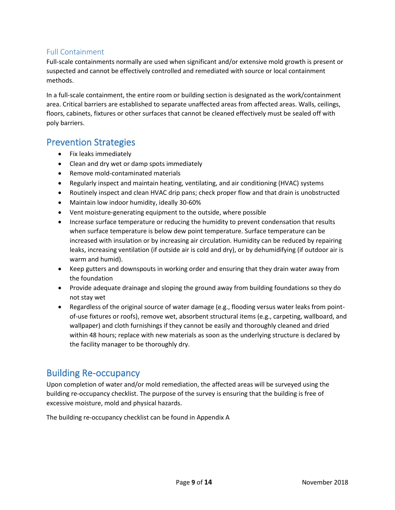#### <span id="page-11-0"></span>Full Containment

Full-scale containments normally are used when significant and/or extensive mold growth is present or suspected and cannot be effectively controlled and remediated with source or local containment methods.

In a full-scale containment, the entire room or building section is designated as the work/containment area. Critical barriers are established to separate unaffected areas from affected areas. Walls, ceilings, floors, cabinets, fixtures or other surfaces that cannot be cleaned effectively must be sealed off with poly barriers.

# <span id="page-11-1"></span>Prevention Strategies

- Fix leaks immediately
- Clean and dry wet or damp spots immediately
- Remove mold-contaminated materials
- Regularly inspect and maintain heating, ventilating, and air conditioning (HVAC) systems
- Routinely inspect and clean HVAC drip pans; check proper flow and that drain is unobstructed
- Maintain low indoor humidity, ideally 30-60%
- Vent moisture-generating equipment to the outside, where possible
- Increase surface temperature or reducing the humidity to prevent condensation that results when surface temperature is below dew point temperature. Surface temperature can be increased with insulation or by increasing air circulation. Humidity can be reduced by repairing leaks, increasing ventilation (if outside air is cold and dry), or by dehumidifying (if outdoor air is warm and humid).
- Keep gutters and downspouts in working order and ensuring that they drain water away from the foundation
- Provide adequate drainage and sloping the ground away from building foundations so they do not stay wet
- Regardless of the original source of water damage (e.g., flooding versus water leaks from pointof-use fixtures or roofs), remove wet, absorbent structural items (e.g., carpeting, wallboard, and wallpaper) and cloth furnishings if they cannot be easily and thoroughly cleaned and dried within 48 hours; replace with new materials as soon as the underlying structure is declared by the facility manager to be thoroughly dry.

# <span id="page-11-2"></span>Building Re-occupancy

Upon completion of water and/or mold remediation, the affected areas will be surveyed using the building re-occupancy checklist. The purpose of the survey is ensuring that the building is free of excessive moisture, mold and physical hazards.

The building re-occupancy checklist can be found in Appendix A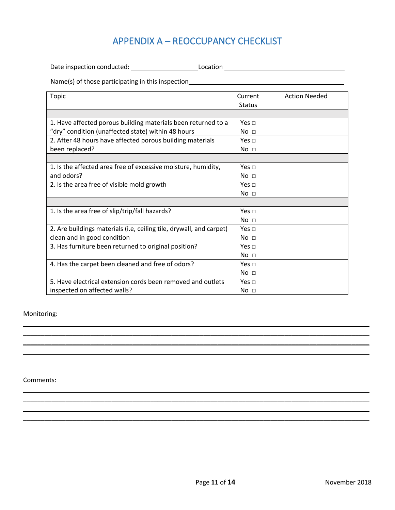# APPENDIX A – REOCCUPANCY CHECKLIST

<span id="page-13-0"></span>Date inspection conducted: \_\_\_\_\_\_\_\_\_\_\_\_\_\_\_\_\_\_\_Location \_\_\_\_\_\_\_\_\_\_\_\_\_\_\_\_\_\_\_\_\_\_\_\_\_\_\_\_\_\_\_\_\_\_

Name(s) of those participating in this inspection\_\_\_\_\_\_\_\_\_\_\_\_\_\_\_\_\_\_\_\_\_\_\_\_\_\_\_\_\_\_\_

| <b>Topic</b>                                                        | Current         | <b>Action Needed</b> |
|---------------------------------------------------------------------|-----------------|----------------------|
|                                                                     | <b>Status</b>   |                      |
|                                                                     |                 |                      |
| 1. Have affected porous building materials been returned to a       | Yes $\sqcap$    |                      |
| "dry" condition (unaffected state) within 48 hours                  | No <sub>1</sub> |                      |
| 2. After 48 hours have affected porous building materials           | Yes $\sqcap$    |                      |
| been replaced?                                                      | No <sub>1</sub> |                      |
|                                                                     |                 |                      |
| 1. Is the affected area free of excessive moisture, humidity,       | Yes $\sqcap$    |                      |
| and odors?                                                          | No <sub>1</sub> |                      |
| 2. Is the area free of visible mold growth                          | Yes $\sqcap$    |                      |
|                                                                     | No <sub>1</sub> |                      |
|                                                                     |                 |                      |
| 1. Is the area free of slip/trip/fall hazards?                      | Yes $\sqcap$    |                      |
|                                                                     | No <sub>1</sub> |                      |
| 2. Are buildings materials (i.e, ceiling tile, drywall, and carpet) | Yes $\sqcap$    |                      |
| clean and in good condition                                         | No <sub>1</sub> |                      |
| 3. Has furniture been returned to original position?                | Yes $\sqcap$    |                      |
|                                                                     | No <sub>1</sub> |                      |
| 4. Has the carpet been cleaned and free of odors?                   | Yes $\sqcap$    |                      |
|                                                                     | No <sub>1</sub> |                      |
| 5. Have electrical extension cords been removed and outlets         | Yes $\sqcap$    |                      |
| inspected on affected walls?                                        | No <sub>1</sub> |                      |

 $\_$  , and the set of the set of the set of the set of the set of the set of the set of the set of the set of the set of the set of the set of the set of the set of the set of the set of the set of the set of the set of th  $\overline{\phantom{a}}$  , and the contract of the contract of the contract of the contract of the contract of the contract of the contract of the contract of the contract of the contract of the contract of the contract of the contrac  $\overline{\phantom{a}}$  , and the contract of the contract of the contract of the contract of the contract of the contract of the contract of the contract of the contract of the contract of the contract of the contract of the contrac \_\_\_\_\_\_\_\_\_\_\_\_\_\_\_\_\_\_\_\_\_\_\_\_\_\_\_\_\_\_\_\_\_\_\_\_\_\_\_\_\_\_\_\_\_\_\_\_\_\_\_\_\_\_\_\_\_\_\_\_\_\_\_\_\_\_\_\_\_\_\_\_\_\_\_\_\_\_\_\_\_\_\_\_\_\_\_\_\_\_\_\_\_\_\_\_\_\_

 $\overline{\phantom{a}}$  , and the contract of the contract of the contract of the contract of the contract of the contract of the contract of the contract of the contract of the contract of the contract of the contract of the contrac  $\overline{\phantom{a}}$  , and the contribution of the contribution of the contribution of the contribution of the contribution of the contribution of the contribution of the contribution of the contribution of the contribution of the  $\_$  , and the contribution of the contribution of the contribution of the contribution of  $\mathcal{L}_\mathbf{X}$ \_\_\_\_\_\_\_\_\_\_\_\_\_\_\_\_\_\_\_\_\_\_\_\_\_\_\_\_\_\_\_\_\_\_\_\_\_\_\_\_\_\_\_\_\_\_\_\_\_\_\_\_\_\_\_\_\_\_\_\_\_\_\_\_\_\_\_\_\_\_\_\_\_\_\_\_\_\_\_\_\_\_\_\_\_\_\_\_\_\_\_\_\_\_\_\_\_\_

Monitoring:

Comments: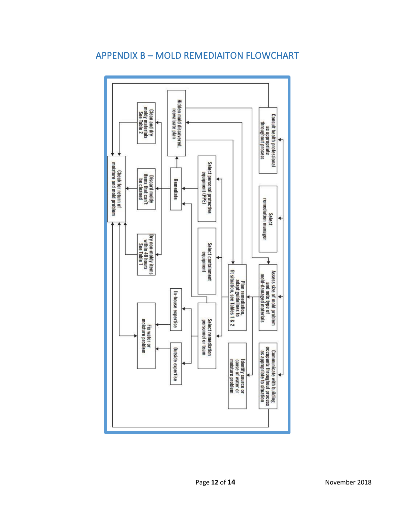<span id="page-14-0"></span>

# APPENDIX B – MOLD REMEDIAITON FLOWCHART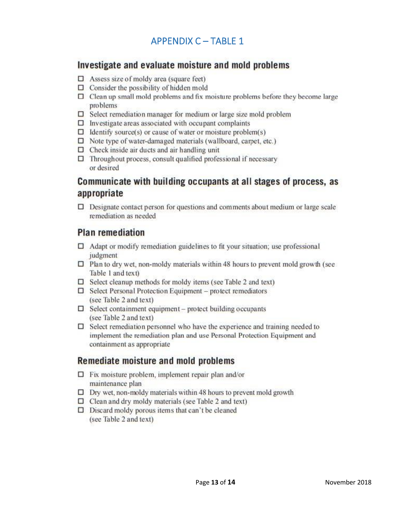# **APPENDIX C-TABLE 1**

# <span id="page-15-0"></span>Investigate and evaluate moisture and mold problems

- $\Box$  Assess size of moldy area (square feet)
- $\Box$  Consider the possibility of hidden mold
- $\Box$  Clean up small mold problems and fix moisture problems before they become large problems
- $\Box$  Select remediation manager for medium or large size mold problem
- $\square$  Investigate areas associated with occupant complaints
- $\Box$  Identify source(s) or cause of water or moisture problem(s)
- $\Box$  Note type of water-damaged materials (wallboard, carpet, etc.)
- $\Box$  Check inside air ducts and air handling unit
- $\Box$  Throughout process, consult qualified professional if necessary or desired

# Communicate with building occupants at all stages of process, as appropriate

 $\Box$  Designate contact person for questions and comments about medium or large scale remediation as needed

# **Plan remediation**

- $\Box$  Adapt or modify remediation guidelines to fit your situation; use professional judgment
- $\Box$  Plan to dry wet, non-moldy materials within 48 hours to prevent mold growth (see Table 1 and text)
- $\Box$  Select cleanup methods for moldy items (see Table 2 and text)
- $\Box$  Select Personal Protection Equipment protect remediators (see Table 2 and text)
- $\Box$  Select containment equipment protect building occupants (see Table 2 and text)
- $\Box$  Select remediation personnel who have the experience and training needed to implement the remediation plan and use Personal Protection Equipment and containment as appropriate

# Remediate moisture and mold problems

- $\Box$  Fix moisture problem, implement repair plan and/or maintenance plan
- $\Box$  Dry wet, non-moldy materials within 48 hours to prevent mold growth
- $\Box$  Clean and dry moldy materials (see Table 2 and text)
- $\Box$  Discard moldy porous items that can't be cleaned (see Table 2 and text)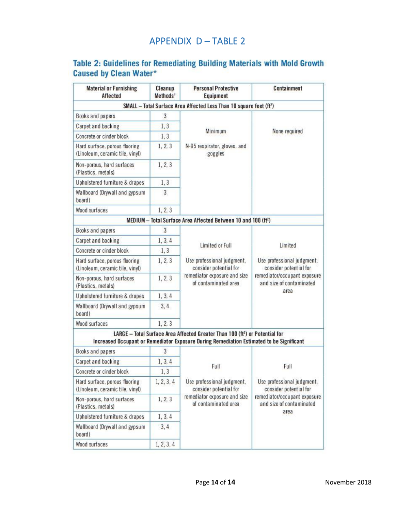# APPENDIX D – TABLE 2

# <span id="page-16-0"></span>Table 2: Guidelines for Remediating Building Materials with Mold Growth Caused by Clean Water\*

| <b>Material or Furnishing</b><br><b>Affected</b>                 | Cleanup<br>Methods <sup>t</sup> | <b>Personal Protective</b><br>Equipment                                                                                                                                              | Containment                                              |
|------------------------------------------------------------------|---------------------------------|--------------------------------------------------------------------------------------------------------------------------------------------------------------------------------------|----------------------------------------------------------|
|                                                                  |                                 | SMALL - Total Surface Area Affected Less Than 10 square feet (ft <sup>2</sup> )                                                                                                      |                                                          |
| Books and papers                                                 | 3                               |                                                                                                                                                                                      |                                                          |
| <b>Carpet and backing</b>                                        | 1,3                             |                                                                                                                                                                                      |                                                          |
| Concrete or cinder block                                         | 1, 3                            | Minimum                                                                                                                                                                              | None required                                            |
| Hard surface, porous flooring<br>(Linoleum, ceramic tile, vinyl) | 1, 2, 3                         | N-95 respirator, gloves, and<br>goggles                                                                                                                                              |                                                          |
| Non-porous, hard surfaces<br>(Plastics, metals)                  | 1, 2, 3                         |                                                                                                                                                                                      |                                                          |
| Upholstered furniture & drapes                                   | 1,3                             |                                                                                                                                                                                      |                                                          |
| Wallboard (Drywall and gypsum<br>board)                          | 3                               |                                                                                                                                                                                      |                                                          |
| Wood surfaces                                                    | 1, 2, 3                         |                                                                                                                                                                                      |                                                          |
|                                                                  |                                 | MEDIUM - Total Surface Area Affected Between 10 and 100 (ft <sup>2</sup> )                                                                                                           |                                                          |
| Books and papers                                                 | 3                               |                                                                                                                                                                                      |                                                          |
| Carpet and backing                                               | 1, 3, 4                         | <b>Limited or Full</b>                                                                                                                                                               | Limited                                                  |
| Concrete or cinder block                                         | 1, 3                            |                                                                                                                                                                                      |                                                          |
| Hard surface, porous flooring<br>(Linoleum, ceramic tile, vinyl) | 1, 2, 3                         | Use professional judgment,<br>consider potential for<br>remediator exposure and size<br>of contaminated area                                                                         | Use professional judgment,<br>consider potential for     |
| Non-porous, hard surfaces<br>(Plastics, metals)                  | 1, 2, 3                         |                                                                                                                                                                                      | remediator/occupant exposure<br>and size of contaminated |
| Upholstered furniture & drapes                                   | 1, 3, 4                         |                                                                                                                                                                                      | area                                                     |
| Wallboard (Drywall and gypsum<br>board)                          | 3, 4                            |                                                                                                                                                                                      |                                                          |
| Wood surfaces                                                    | 1, 2, 3                         |                                                                                                                                                                                      |                                                          |
|                                                                  |                                 | LARGE - Total Surface Area Affected Greater Than 100 (ft <sup>2</sup> ) or Potential for<br>Increased Occupant or Remediator Exposure During Remediation Estimated to be Significant |                                                          |
| Books and papers                                                 | 3                               |                                                                                                                                                                                      |                                                          |
| Carpet and backing                                               | 1, 3, 4                         |                                                                                                                                                                                      | Full                                                     |
| Concrete or cinder block                                         | 1, 3                            | Full<br>Use professional judgment,<br>consider potential for<br>remediator exposure and size<br>of contaminated area                                                                 |                                                          |
| Hard surface, porous flooring<br>(Linoleum, ceramic tile, vinyl) | 1, 2, 3, 4                      |                                                                                                                                                                                      | Use professional judgment,<br>consider potential for     |
| Non-porous, hard surfaces<br>(Plastics, metals)                  | 1, 2, 3                         |                                                                                                                                                                                      | remediator/occupant exposure<br>and size of contaminated |
| Upholstered furniture & drapes                                   | 1, 3, 4                         |                                                                                                                                                                                      | area                                                     |
| Wallboard (Drywall and gypsum<br>board)                          | 3, 4                            |                                                                                                                                                                                      |                                                          |
| Wood surfaces                                                    | 1, 2, 3, 4                      |                                                                                                                                                                                      |                                                          |